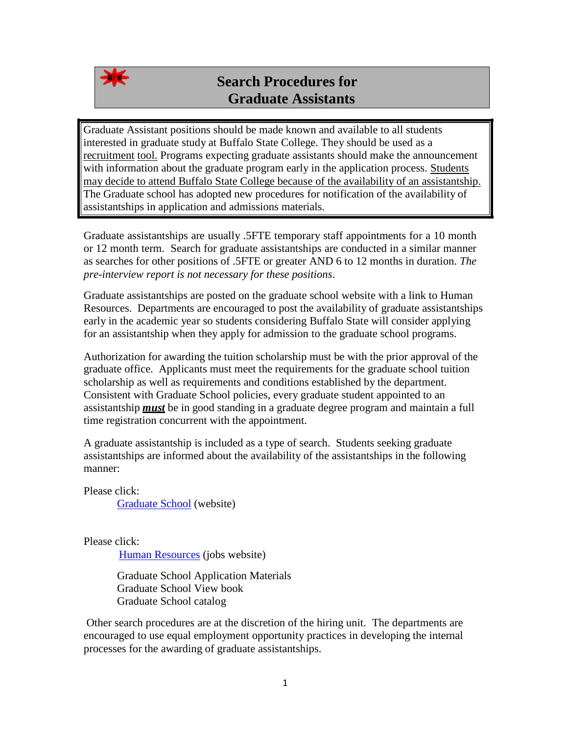

## **Search Procedures for Graduate Assistants**

Graduate Assistant positions should be made known and available to all students interested in graduate study at Buffalo State College. They should be used as a recruitment tool. Programs expecting graduate assistants should make the announcement with information about the graduate program early in the application process. Students may decide to attend Buffalo State College because of the availability of an assistantship. The Graduate school has adopted new procedures for notification of the availability of assistantships in application and admissions materials.

Graduate assistantships are usually .5FTE temporary staff appointments for a 10 month or 12 month term. Search for graduate assistantships are conducted in a similar manner as searches for other positions of .5FTE or greater AND 6 to 12 months in duration. *The pre-interview report is not necessary for these positions*.

Graduate assistantships are posted on the graduate school website with a link to Human Resources. Departments are encouraged to post the availability of graduate assistantships early in the academic year so students considering Buffalo State will consider applying for an assistantship when they apply for admission to the graduate school programs.

Authorization for awarding the tuition scholarship must be with the prior approval of the graduate office. Applicants must meet the requirements for the graduate school tuition scholarship as well as requirements and conditions established by the department. Consistent with Graduate School policies, every graduate student appointed to an assistantship *must* be in good standing in a graduate degree program and maintain a full time registration concurrent with the appointment.

A graduate assistantship is included as a type of search. Students seeking graduate assistantships are informed about the availability of the assistantships in the following manner:

Please click:

[Graduate School](http://graduateschool.buffalostate.edu/) (website)

Please click:

[Human Resources](https://jobs.buffalostate.edu/) (jobs website)

Graduate School Application Materials Graduate School View book Graduate School catalog

Other search procedures are at the discretion of the hiring unit. The departments are encouraged to use equal employment opportunity practices in developing the internal processes for the awarding of graduate assistantships.